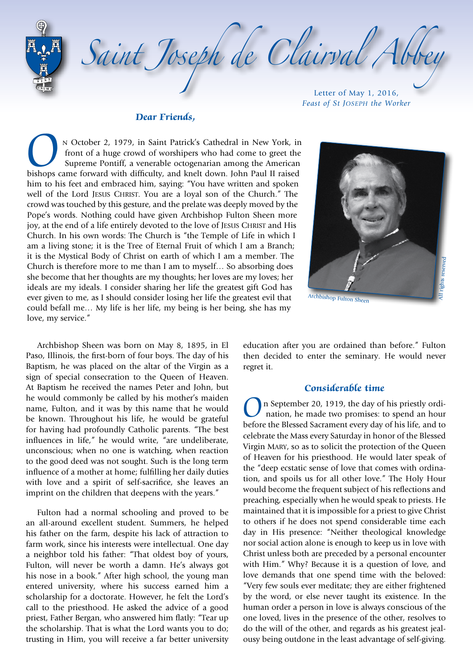Saint Joseph de Clairval Abb Letter of May 1, 2016,

#### **Dear Friends,**

N October 2, 1979, in Saint Patrick's Cathedral in New York, in front of a huge crowd of worshipers who had come to greet the Supreme Pontiff, a venerable octogenarian among the American bishops came forward with difficult front of a huge crowd of worshipers who had come to greet the Supreme Pontiff, a venerable octogenarian among the American bishops came forward with difficulty, and knelt down. John Paul II raised him to his feet and embraced him, saying: "You have written and spoken well of the Lord JESUS CHRIST. You are a loyal son of the Church." The crowd was touched by this gesture, and the prelate was deeply moved by the Pope's words. Nothing could have given Archbishop Fulton Sheen more joy, at the end of a life entirely devoted to the love of Jesus Christ and His Church. In his own words: The Church is "the Temple of Life in which I am a living stone; it is the Tree of Eternal Fruit of which I am a Branch; it is the Mystical Body of Christ on earth of which I am a member. The Church is therefore more to me than I am to myself… So absorbing does she become that her thoughts are my thoughts; her loves are my loves; her ideals are my ideals. I consider sharing her life the greatest gift God has ever given to me, as I should consider losing her life the greatest evil that could befall me… My life is her life, my being is her being, she has my love, my service."



*Feast of St Joseph the Worker*

Archbishop Sheen was born on May 8, 1895, in El Paso, Illinois, the first-born of four boys. The day of his Baptism, he was placed on the altar of the Virgin as a sign of special consecration to the Queen of Heaven. At Baptism he received the names Peter and John, but he would commonly be called by his mother's maiden name, Fulton, and it was by this name that he would be known. Throughout his life, he would be grateful for having had profoundly Catholic parents. "The best influences in life," he would write, "are undeliberate, unconscious; when no one is watching, when reaction to the good deed was not sought. Such is the long term influence of a mother at home; fulfilling her daily duties with love and a spirit of self-sacrifice, she leaves an imprint on the children that deepens with the years."

Fulton had a normal schooling and proved to be an all-around excellent student. Summers, he helped his father on the farm, despite his lack of attraction to farm work, since his interests were intellectual. One day a neighbor told his father: "That oldest boy of yours, Fulton, will never be worth a damn. He's always got his nose in a book." After high school, the young man entered university, where his success earned him a scholarship for a doctorate. However, he felt the Lord's call to the priesthood. He asked the advice of a good priest, Father Bergan, who answered him flatly: "Tear up the scholarship. That is what the Lord wants you to do; trusting in Him, you will receive a far better university

education after you are ordained than before." Fulton then decided to enter the seminary. He would never regret it.

### **Considerable time**

On September 20, 1919, the day of his priestly ordination, he made two promises: to spend an hour before the Blessed Sacrament every day of his life, and to celebrate the Mass every Saturday in honor of the Blessed Virgin Mary, so as to solicit the protection of the Queen of Heaven for his priesthood. He would later speak of the "deep ecstatic sense of love that comes with ordination, and spoils us for all other love." The Holy Hour would become the frequent subject of his reflections and preaching, especially when he would speak to priests. He maintained that it is impossible for a priest to give Christ to others if he does not spend considerable time each day in His presence: "Neither theological knowledge nor social action alone is enough to keep us in love with Christ unless both are preceded by a personal encounter with Him." Why? Because it is a question of love, and love demands that one spend time with the beloved: "Very few souls ever meditate; they are either frightened by the word, or else never taught its existence. In the human order a person in love is always conscious of the one loved, lives in the presence of the other, resolves to do the will of the other, and regards as his greatest jealousy being outdone in the least advantage of self-giving.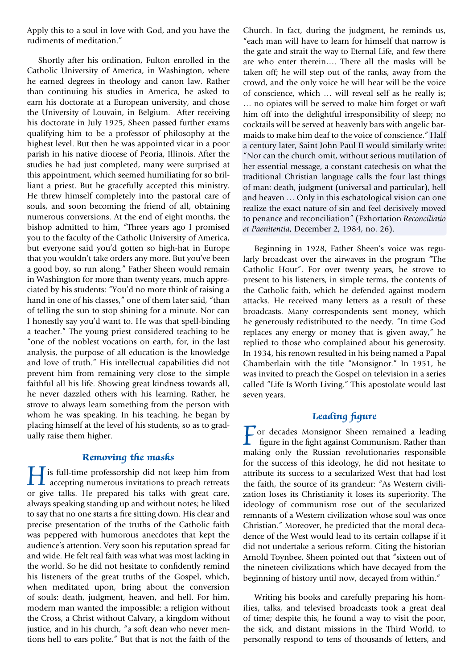Apply this to a soul in love with God, and you have the rudiments of meditation."

Shortly after his ordination, Fulton enrolled in the Catholic University of America, in Washington, where he earned degrees in theology and canon law. Rather than continuing his studies in America, he asked to earn his doctorate at a European university, and chose the University of Louvain, in Belgium. After receiving his doctorate in July 1925, Sheen passed further exams qualifying him to be a professor of philosophy at the highest level. But then he was appointed vicar in a poor parish in his native diocese of Peoria, Illinois. After the studies he had just completed, many were surprised at this appointment, which seemed humiliating for so brilliant a priest. But he gracefully accepted this ministry. He threw himself completely into the pastoral care of souls, and soon becoming the friend of all, obtaining numerous conversions. At the end of eight months, the bishop admitted to him, "Three years ago I promised you to the faculty of the Catholic University of America, but everyone said you'd gotten so high-hat in Europe that you wouldn't take orders any more. But you've been a good boy, so run along." Father Sheen would remain in Washington for more than twenty years, much appreciated by his students: "You'd no more think of raising a hand in one of his classes," one of them later said, "than of telling the sun to stop shining for a minute. Nor can I honestly say you'd want to. He was that spell-binding a teacher." The young priest considered teaching to be "one of the noblest vocations on earth, for, in the last analysis, the purpose of all education is the knowledge and love of truth." His intellectual capabilities did not prevent him from remaining very close to the simple faithful all his life. Showing great kindness towards all, he never dazzled others with his learning. Rather, he strove to always learn something from the person with whom he was speaking. In his teaching, he began by placing himself at the level of his students, so as to gradually raise them higher.

### **Removing the masks**

I is full-time professorship did not keep him from<br>accepting numerous invitations to preach retreats<br>or give talks. He prepared his talks with great care or give talks. He prepared his talks with great care, always speaking standing up and without notes; he liked to say that no one starts a fire sitting down. His clear and precise presentation of the truths of the Catholic faith was peppered with humorous anecdotes that kept the audience's attention. Very soon his reputation spread far and wide. He felt real faith was what was most lacking in the world. So he did not hesitate to confidently remind his listeners of the great truths of the Gospel, which, when meditated upon, bring about the conversion of souls: death, judgment, heaven, and hell. For him, modern man wanted the impossible: a religion without the Cross, a Christ without Calvary, a kingdom without justice, and in his church, "a soft dean who never mentions hell to ears polite." But that is not the faith of the

Church. In fact, during the judgment, he reminds us, "each man will have to learn for himself that narrow is the gate and strait the way to Eternal Life, and few there are who enter therein…. There all the masks will be taken off; he will step out of the ranks, away from the crowd, and the only voice he will hear will be the voice of conscience, which … will reveal self as he really is; … no opiates will be served to make him forget or waft him off into the delightful irresponsibility of sleep; no cocktails will be served at heavenly bars with angelic barmaids to make him deaf to the voice of conscience." Half a century later, Saint John Paul II would similarly write: "Nor can the church omit, without serious mutilation of her essential message, a constant catechesis on what the traditional Christian language calls the four last things of man: death, judgment (universal and particular), hell and heaven … Only in this eschatological vision can one realize the exact nature of sin and feel decisively moved to penance and reconciliation" (Exhortation *Reconciliatio et Paenitentia*, December 2, 1984, no. 26).

Beginning in 1928, Father Sheen's voice was regularly broadcast over the airwaves in the program "The Catholic Hour". For over twenty years, he strove to present to his listeners, in simple terms, the contents of the Catholic faith, which he defended against modern attacks. He received many letters as a result of these broadcasts. Many correspondents sent money, which he generously redistributed to the needy. "In time God replaces any energy or money that is given away," he replied to those who complained about his generosity. In 1934, his renown resulted in his being named a Papal Chamberlain with the title "Monsignor." In 1951, he was invited to preach the Gospel on television in a series called "Life Is Worth Living." This apostolate would last seven years.

# **Leading figure**

 $\Gamma$  or decades Monsignor Sheen remained a leading figure in the fight against Communism. Rather than making only the Russian revolutionaries responsible for the success of this ideology, he did not hesitate to attribute its success to a secularized West that had lost the faith, the source of its grandeur: "As Western civilization loses its Christianity it loses its superiority. The ideology of communism rose out of the secularized remnants of a Western civilization whose soul was once Christian." Moreover, he predicted that the moral decadence of the West would lead to its certain collapse if it did not undertake a serious reform. Citing the historian Arnold Toynbee, Sheen pointed out that "sixteen out of the nineteen civilizations which have decayed from the beginning of history until now, decayed from within."

Writing his books and carefully preparing his homilies, talks, and televised broadcasts took a great deal of time; despite this, he found a way to visit the poor, the sick, and distant missions in the Third World, to personally respond to tens of thousands of letters, and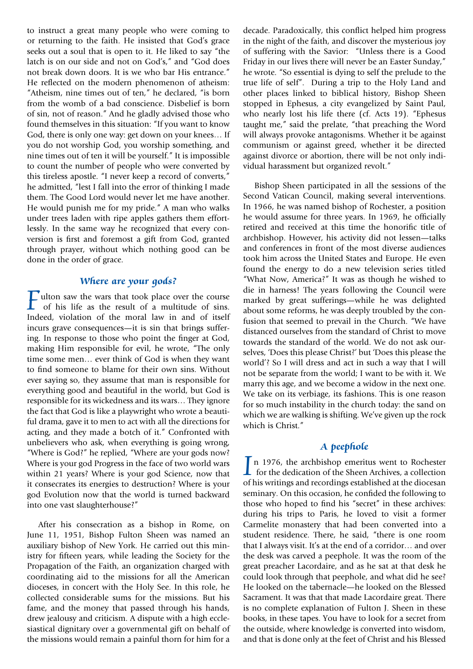to instruct a great many people who were coming to or returning to the faith. He insisted that God's grace seeks out a soul that is open to it. He liked to say "the latch is on our side and not on God's," and "God does not break down doors. It is we who bar His entrance." He reflected on the modern phenomenon of atheism: "Atheism, nine times out of ten," he declared, "is born from the womb of a bad conscience. Disbelief is born of sin, not of reason." And he gladly advised those who found themselves in this situation: "If you want to know God, there is only one way: get down on your knees… If you do not worship God, you worship something, and nine times out of ten it will be yourself." It is impossible to count the number of people who were converted by this tireless apostle. "I never keep a record of converts," he admitted, "lest I fall into the error of thinking I made them. The Good Lord would never let me have another. He would punish me for my pride." A man who walks under trees laden with ripe apples gathers them effortlessly. In the same way he recognized that every conversion is first and foremost a gift from God, granted through prayer, without which nothing good can be done in the order of grace.

## **Where are your gods?**

**Fulton saw the wars that took place over the course** of his life as the result of a multitude of sins. Indeed, violation of the moral law in and of itself incurs grave consequences—it is sin that brings suffering. In response to those who point the finger at God, making Him responsible for evil, he wrote, "The only time some men… ever think of God is when they want to find someone to blame for their own sins. Without ever saying so, they assume that man is responsible for everything good and beautiful in the world, but God is responsible for its wickedness and its wars… They ignore the fact that God is like a playwright who wrote a beautiful drama, gave it to men to act with all the directions for acting, and they made a botch of it." Confronted with unbelievers who ask, when everything is going wrong, "Where is God?" he replied, "Where are your gods now? Where is your god Progress in the face of two world wars within 21 years? Where is your god Science, now that it consecrates its energies to destruction? Where is your god Evolution now that the world is turned backward into one vast slaughterhouse?"

After his consecration as a bishop in Rome, on June 11, 1951, Bishop Fulton Sheen was named an auxiliary bishop of New York. He carried out this ministry for fifteen years, while leading the Society for the Propagation of the Faith, an organization charged with coordinating aid to the missions for all the American dioceses, in concert with the Holy See. In this role, he collected considerable sums for the missions. But his fame, and the money that passed through his hands, drew jealousy and criticism. A dispute with a high ecclesiastical dignitary over a governmental gift on behalf of the missions would remain a painful thorn for him for a

decade. Paradoxically, this conflict helped him progress in the night of the faith, and discover the mysterious joy of suffering with the Savior: "Unless there is a Good Friday in our lives there will never be an Easter Sunday," he wrote. "So essential is dying to self the prelude to the true life of self". During a trip to the Holy Land and other places linked to biblical history, Bishop Sheen stopped in Ephesus, a city evangelized by Saint Paul, who nearly lost his life there (cf. Acts 19). "Ephesus taught me," said the prelate, "that preaching the Word will always provoke antagonisms. Whether it be against communism or against greed, whether it be directed against divorce or abortion, there will be not only individual harassment but organized revolt."

Bishop Sheen participated in all the sessions of the Second Vatican Council, making several interventions. In 1966, he was named bishop of Rochester, a position he would assume for three years. In 1969, he officially retired and received at this time the honorific title of archbishop. However, his activity did not lessen—talks and conferences in front of the most diverse audiences took him across the United States and Europe. He even found the energy to do a new television series titled "What Now, America?" It was as though he wished to die in harness! The years following the Council were marked by great sufferings—while he was delighted about some reforms, he was deeply troubled by the confusion that seemed to prevail in the Church. "We have distanced ourselves from the standard of Christ to move towards the standard of the world. We do not ask ourselves, 'Does this please Christ?' but 'Does this please the world'? So I will dress and act in such a way that I will not be separate from the world; I want to be with it. We marry this age, and we become a widow in the next one. We take on its verbiage, its fashions. This is one reason for so much instability in the church today: the sand on which we are walking is shifting. We've given up the rock which is Christ."

## **A peephole**

In 1976, the archbishop emeritus went to Rochester  $\mathsf{\mathsf{L}}$  for the dedication of the Sheen Archives, a collection of his writings and recordings established at the diocesan seminary. On this occasion, he confided the following to those who hoped to find his "secret" in these archives: during his trips to Paris, he loved to visit a former Carmelite monastery that had been converted into a student residence. There, he said, "there is one room that I always visit. It's at the end of a corridor… and over the desk was carved a peephole. It was the room of the great preacher Lacordaire, and as he sat at that desk he could look through that peephole, and what did he see? He looked on the tabernacle—he looked on the Blessed Sacrament. It was that that made Lacordaire great. There is no complete explanation of Fulton J. Sheen in these books, in these tapes. You have to look for a secret from the outside, where knowledge is converted into wisdom, and that is done only at the feet of Christ and his Blessed